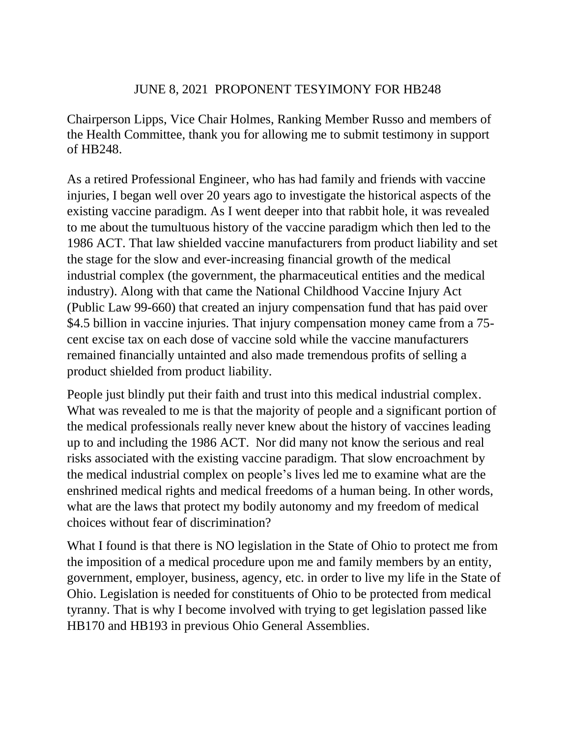## JUNE 8, 2021 PROPONENT TESYIMONY FOR HB248

Chairperson Lipps, Vice Chair Holmes, Ranking Member Russo and members of the Health Committee, thank you for allowing me to submit testimony in support of HB248.

As a retired Professional Engineer, who has had family and friends with vaccine injuries, I began well over 20 years ago to investigate the historical aspects of the existing vaccine paradigm. As I went deeper into that rabbit hole, it was revealed to me about the tumultuous history of the vaccine paradigm which then led to the 1986 ACT. That law shielded vaccine manufacturers from product liability and set the stage for the slow and ever-increasing financial growth of the medical industrial complex (the government, the pharmaceutical entities and the medical industry). Along with that came the National Childhood Vaccine Injury Act (Public Law 99-660) that created an injury compensation fund that has paid over \$4.5 billion in vaccine injuries. That injury compensation money came from a 75cent excise tax on each dose of vaccine sold while the vaccine manufacturers remained financially untainted and also made tremendous profits of selling a product shielded from product liability.

People just blindly put their faith and trust into this medical industrial complex. What was revealed to me is that the majority of people and a significant portion of the medical professionals really never knew about the history of vaccines leading up to and including the 1986 ACT. Nor did many not know the serious and real risks associated with the existing vaccine paradigm. That slow encroachment by the medical industrial complex on people's lives led me to examine what are the enshrined medical rights and medical freedoms of a human being. In other words, what are the laws that protect my bodily autonomy and my freedom of medical choices without fear of discrimination?

What I found is that there is NO legislation in the State of Ohio to protect me from the imposition of a medical procedure upon me and family members by an entity, government, employer, business, agency, etc. in order to live my life in the State of Ohio. Legislation is needed for constituents of Ohio to be protected from medical tyranny. That is why I become involved with trying to get legislation passed like HB170 and HB193 in previous Ohio General Assemblies.